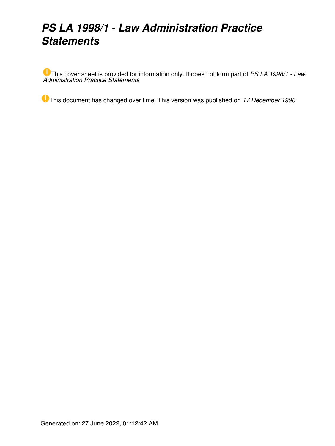# *PS LA 1998/1 - Law Administration Practice Statements*

This cover sheet is provided for information only. It does not form part of *PS LA 1998/1 - Law Administration Practice Statements*

This document has changed over time. This version was published on *17 December 1998*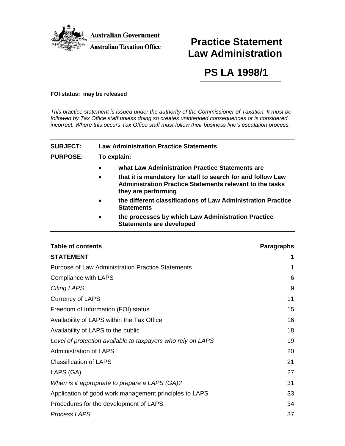

## **Practice Statement Law Administration**

**PS LA 1998/1** 

#### **FOI status: may be released**

*This practice statement is issued under the authority of the Commissioner of Taxation. It must be followed by Tax Office staff unless doing so creates unintended consequences or is considered incorrect. Where this occurs Tax Office staff must follow their business line's escalation process.* 

## **SUBJECT: Law Administration Practice Statements**

#### **PURPOSE: To explain:**

- **what Law Administration Practice Statements are**
- **that it is mandatory for staff to search for and follow Law Administration Practice Statements relevant to the tasks they are performing**
- **the different classifications of Law Administration Practice Statements**
- **the processes by which Law Administration Practice Statements are developed**

| <b>Table of contents</b>                                    | <b>Paragraphs</b> |
|-------------------------------------------------------------|-------------------|
| <b>STATEMENT</b>                                            | 1                 |
| <b>Purpose of Law Administration Practice Statements</b>    | 1                 |
| Compliance with LAPS                                        | 6                 |
| <b>Citing LAPS</b>                                          | 9                 |
| <b>Currency of LAPS</b>                                     | 11                |
| Freedom of Information (FOI) status                         | 15                |
| Availability of LAPS within the Tax Office                  | 16                |
| Availability of LAPS to the public                          | 18                |
| Level of protection available to taxpayers who rely on LAPS | 19                |
| <b>Administration of LAPS</b>                               | 20                |
| <b>Classification of LAPS</b>                               | 21                |
| LAPS (GA)                                                   | 27                |
| When is it appropriate to prepare a LAPS (GA)?              | 31                |
| Application of good work management principles to LAPS      | 33                |
| Procedures for the development of LAPS                      | 34                |
| <b>Process LAPS</b>                                         | 37                |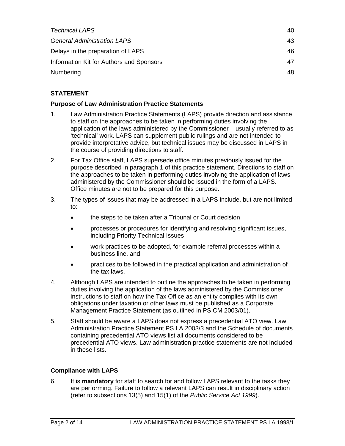| <b>Technical LAPS</b>                    | 40  |
|------------------------------------------|-----|
| <b>General Administration LAPS</b>       | 43  |
| Delays in the preparation of LAPS        | 46  |
| Information Kit for Authors and Sponsors | 47  |
| Numbering                                | 48. |

## **STATEMENT**

## **Purpose of Law Administration Practice Statements**

- 1. Law Administration Practice Statements (LAPS) provide direction and assistance to staff on the approaches to be taken in performing duties involving the application of the laws administered by the Commissioner – usually referred to as 'technical' work. LAPS can supplement public rulings and are not intended to provide interpretative advice, but technical issues may be discussed in LAPS in the course of providing directions to staff.
- 2. For Tax Office staff, LAPS supersede office minutes previously issued for the purpose described in paragraph 1 of this practice statement. Directions to staff on the approaches to be taken in performing duties involving the application of laws administered by the Commissioner should be issued in the form of a LAPS. Office minutes are not to be prepared for this purpose.
- 3. The types of issues that may be addressed in a LAPS include, but are not limited to:
	- the steps to be taken after a Tribunal or Court decision
	- processes or procedures for identifying and resolving significant issues, including Priority Technical Issues
	- work practices to be adopted, for example referral processes within a business line, and
	- practices to be followed in the practical application and administration of the tax laws.
- 4. Although LAPS are intended to outline the approaches to be taken in performing duties involving the application of the laws administered by the Commissioner, instructions to staff on how the Tax Office as an entity complies with its own obligations under taxation or other laws must be published as a Corporate Management Practice Statement (as outlined in PS CM 2003/01).
- 5. Staff should be aware a LAPS does not express a precedential ATO view. Law Administration Practice Statement PS LA 2003/3 and the Schedule of documents containing precedential ATO views list all documents considered to be precedential ATO views. Law administration practice statements are not included in these lists.

## **Compliance with LAPS**

6. It is **mandatory** for staff to search for and follow LAPS relevant to the tasks they are performing. Failure to follow a relevant LAPS can result in disciplinary action (refer to subsections 13(5) and 15(1) of the *Public Service Act 1999*).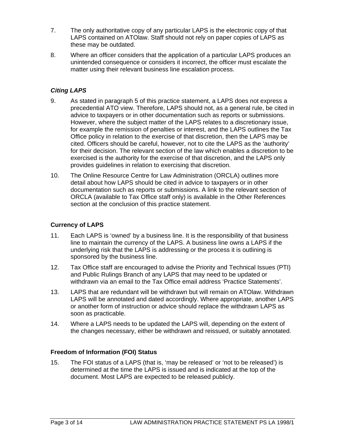- 7. The only authoritative copy of any particular LAPS is the electronic copy of that LAPS contained on ATOlaw. Staff should not rely on paper copies of LAPS as these may be outdated.
- 8. Where an officer considers that the application of a particular LAPS produces an unintended consequence or considers it incorrect, the officer must escalate the matter using their relevant business line escalation process.

## *Citing LAPS*

- 9. As stated in paragraph 5 of this practice statement, a LAPS does not express a precedential ATO view. Therefore, LAPS should not, as a general rule, be cited in advice to taxpayers or in other documentation such as reports or submissions. However, where the subject matter of the LAPS relates to a discretionary issue, for example the remission of penalties or interest, and the LAPS outlines the Tax Office policy in relation to the exercise of that discretion, then the LAPS may be cited. Officers should be careful, however, not to cite the LAPS as the 'authority' for their decision. The relevant section of the law which enables a discretion to be exercised is the authority for the exercise of that discretion, and the LAPS only provides guidelines in relation to exercising that discretion.
- 10. The Online Resource Centre for Law Administration (ORCLA) outlines more detail about how LAPS should be cited in advice to taxpayers or in other documentation such as reports or submissions. A link to the relevant section of ORCLA (available to Tax Office staff only) is available in the Other References section at the conclusion of this practice statement.

## **Currency of LAPS**

- 11. Each LAPS is 'owned' by a business line. It is the responsibility of that business line to maintain the currency of the LAPS. A business line owns a LAPS if the underlying risk that the LAPS is addressing or the process it is outlining is sponsored by the business line.
- 12. Tax Office staff are encouraged to advise the Priority and Technical Issues (PTI) and Public Rulings Branch of any LAPS that may need to be updated or withdrawn via an email to the Tax Office email address 'Practice Statements'.
- 13. LAPS that are redundant will be withdrawn but will remain on ATOlaw. Withdrawn LAPS will be annotated and dated accordingly. Where appropriate, another LAPS or another form of instruction or advice should replace the withdrawn LAPS as soon as practicable.
- 14. Where a LAPS needs to be updated the LAPS will, depending on the extent of the changes necessary, either be withdrawn and reissued, or suitably annotated.

## **Freedom of Information (FOI) Status**

15. The FOI status of a LAPS (that is, 'may be released' or 'not to be released') is determined at the time the LAPS is issued and is indicated at the top of the document. Most LAPS are expected to be released publicly.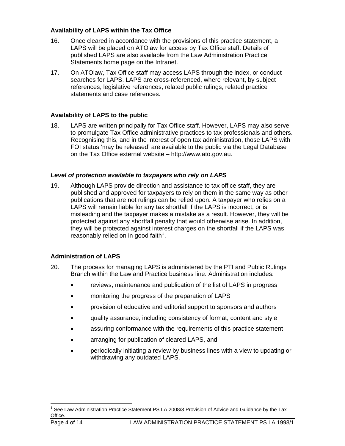## **Availability of LAPS within the Tax Office**

- 16. Once cleared in accordance with the provisions of this practice statement, a LAPS will be placed on ATOlaw for access by Tax Office staff. Details of published LAPS are also available from the Law Administration Practice Statements home page on the Intranet.
- 17. On ATOlaw, Tax Office staff may access LAPS through the index, or conduct searches for LAPS. LAPS are cross-referenced, where relevant, by subject references, legislative references, related public rulings, related practice statements and case references.

## **Availability of LAPS to the public**

18. LAPS are written principally for Tax Office staff. However, LAPS may also serve to promulgate Tax Office administrative practices to tax professionals and others. Recognising this, and in the interest of open tax administration, those LAPS with FOI status 'may be released' are available to the public via the Legal Database on the Tax Office external website – http://www.ato.gov.au.

## *Level of protection available to taxpayers who rely on LAPS*

19. Although LAPS provide direction and assistance to tax office staff, they are published and approved for taxpayers to rely on them in the same way as other publications that are not rulings can be relied upon. A taxpayer who relies on a LAPS will remain liable for any tax shortfall if the LAPS is incorrect, or is misleading and the taxpayer makes a mistake as a result. However, they will be protected against any shortfall penalty that would otherwise arise. In addition, they will be protected against interest charges on the shortfall if the LAPS was reasonably relied on in good faith $1$ .

## **Administration of LAPS**

- 20. The process for managing LAPS is administered by the PTI and Public Rulings Branch within the Law and Practice business line. Administration includes:
	- reviews, maintenance and publication of the list of LAPS in progress
	- monitoring the progress of the preparation of LAPS
	- provision of educative and editorial support to sponsors and authors
	- quality assurance, including consistency of format, content and style
	- assuring conformance with the requirements of this practice statement
	- arranging for publication of cleared LAPS, and
	- periodically initiating a review by business lines with a view to updating or withdrawing any outdated LAPS.

<span id="page-4-0"></span> $\overline{a}$ 1 See Law Administration Practice Statement PS LA 2008/3 Provision of Advice and Guidance by the Tax Office.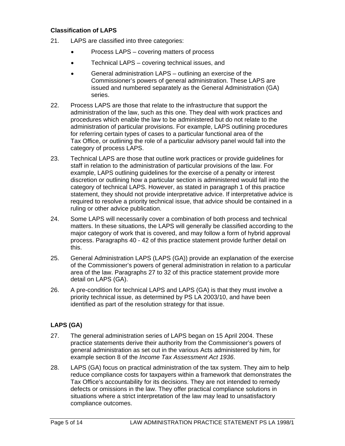#### **Classification of LAPS**

- 21. LAPS are classified into three categories:
	- Process LAPS covering matters of process
	- Technical LAPS covering technical issues, and
	- General administration LAPS outlining an exercise of the Commissioner's powers of general administration. These LAPS are issued and numbered separately as the General Administration (GA) series.
- 22. Process LAPS are those that relate to the infrastructure that support the administration of the law, such as this one. They deal with work practices and procedures which enable the law to be administered but do not relate to the administration of particular provisions. For example, LAPS outlining procedures for referring certain types of cases to a particular functional area of the Tax Office, or outlining the role of a particular advisory panel would fall into the category of process LAPS.
- 23. Technical LAPS are those that outline work practices or provide guidelines for staff in relation to the administration of particular provisions of the law. For example, LAPS outlining guidelines for the exercise of a penalty or interest discretion or outlining how a particular section is administered would fall into the category of technical LAPS. However, as stated in paragraph 1 of this practice statement, they should not provide interpretative advice. If interpretative advice is required to resolve a priority technical issue, that advice should be contained in a ruling or other advice publication.
- 24. Some LAPS will necessarily cover a combination of both process and technical matters. In these situations, the LAPS will generally be classified according to the major category of work that is covered, and may follow a form of hybrid approval process. Paragraphs 40 - 42 of this practice statement provide further detail on this.
- 25. General Administration LAPS (LAPS (GA)) provide an explanation of the exercise of the Commissioner's powers of general administration in relation to a particular area of the law. Paragraphs 27 to 32 of this practice statement provide more detail on LAPS (GA).
- 26. A pre-condition for technical LAPS and LAPS (GA) is that they must involve a priority technical issue, as determined by PS LA 2003/10, and have been identified as part of the resolution strategy for that issue.

## **LAPS (GA)**

- 27. The general administration series of LAPS began on 15 April 2004. These practice statements derive their authority from the Commissioner's powers of general administration as set out in the various Acts administered by him, for example section 8 of the *Income Tax Assessment Act 1936*.
- 28. LAPS (GA) focus on practical administration of the tax system. They aim to help reduce compliance costs for taxpayers within a framework that demonstrates the Tax Office's accountability for its decisions. They are not intended to remedy defects or omissions in the law. They offer practical compliance solutions in situations where a strict interpretation of the law may lead to unsatisfactory compliance outcomes.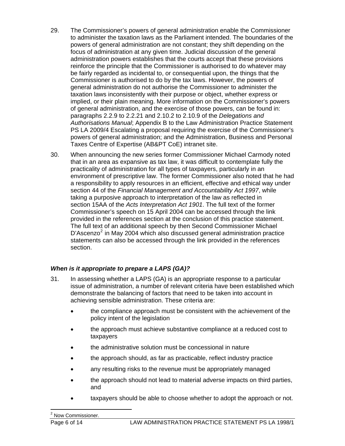- 29. The Commissioner's powers of general administration enable the Commissioner to administer the taxation laws as the Parliament intended. The boundaries of the powers of general administration are not constant; they shift depending on the focus of administration at any given time. Judicial discussion of the general administration powers establishes that the courts accept that these provisions reinforce the principle that the Commissioner is authorised to do whatever may be fairly regarded as incidental to, or consequential upon, the things that the Commissioner is authorised to do by the tax laws. However, the powers of general administration do not authorise the Commissioner to administer the taxation laws inconsistently with their purpose or object, whether express or implied, or their plain meaning. More information on the Commissioner's powers of general administration, and the exercise of those powers, can be found in: paragraphs 2.2.9 to 2.2.21 and 2.10.2 to 2.10.9 of the *Delegations and Authorisations Manual*; Appendix B to the Law Administration Practice Statement PS LA 2009/4 Escalating a proposal requiring the exercise of the Commissioner's powers of general administration; and the Administration, Business and Personal Taxes Centre of Expertise (AB&PT CoE) intranet site.
- 30. When announcing the new series former Commissioner Michael Carmody noted that in an area as expansive as tax law, it was difficult to contemplate fully the practicality of administration for all types of taxpayers, particularly in an environment of prescriptive law. The former Commissioner also noted that he had a responsibility to apply resources in an efficient, effective and ethical way under section 44 of the *Financial Management and Accountability Act 1997*, while taking a purposive approach to interpretation of the law as reflected in section 15AA of the *Acts Interpretation Act 1901*. The full text of the former Commissioner's speech on 15 April 2004 can be accessed through the link provided in the references section at the conclusion of this practice statement. The full text of an additional speech by then Second Commissioner Michael  $D'$ Ascenzo<sup>[2](#page-6-0)</sup> in May 2004 which also discussed general administration practice statements can also be accessed through the link provided in the references section.

## *When is it appropriate to prepare a LAPS (GA)?*

- <span id="page-6-0"></span>31. In assessing whether a LAPS (GA) is an appropriate response to a particular issue of administration, a number of relevant criteria have been established which demonstrate the balancing of factors that need to be taken into account in achieving sensible administration. These criteria are:
	- the compliance approach must be consistent with the achievement of the policy intent of the legislation
	- the approach must achieve substantive compliance at a reduced cost to taxpayers
	- the administrative solution must be concessional in nature
	- the approach should, as far as practicable, reflect industry practice
	- any resulting risks to the revenue must be appropriately managed
	- the approach should not lead to material adverse impacts on third parties, and
	- taxpayers should be able to choose whether to adopt the approach or not.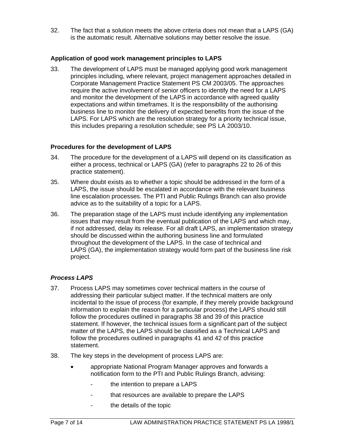32. The fact that a solution meets the above criteria does not mean that a LAPS (GA) is the automatic result. Alternative solutions may better resolve the issue.

#### **Application of good work management principles to LAPS**

33. The development of LAPS must be managed applying good work management principles including, where relevant, project management approaches detailed in Corporate Management Practice Statement PS CM 2003/05. The approaches require the active involvement of senior officers to identify the need for a LAPS and monitor the development of the LAPS in accordance with agreed quality expectations and within timeframes. It is the responsibility of the authorising business line to monitor the delivery of expected benefits from the issue of the LAPS. For LAPS which are the resolution strategy for a priority technical issue, this includes preparing a resolution schedule; see PS LA 2003/10.

#### **Procedures for the development of LAPS**

- 34. The procedure for the development of a LAPS will depend on its classification as either a process, technical or LAPS (GA) (refer to paragraphs 22 to 26 of this practice statement).
- 35. Where doubt exists as to whether a topic should be addressed in the form of a LAPS, the issue should be escalated in accordance with the relevant business line escalation processes. The PTI and Public Rulings Branch can also provide advice as to the suitability of a topic for a LAPS.
- 36. The preparation stage of the LAPS must include identifying any implementation issues that may result from the eventual publication of the LAPS and which may, if not addressed, delay its release. For all draft LAPS, an implementation strategy should be discussed within the authoring business line and formulated throughout the development of the LAPS. In the case of technical and LAPS (GA), the implementation strategy would form part of the business line risk project.

## *Process LAPS*

- 37. Process LAPS may sometimes cover technical matters in the course of addressing their particular subject matter. If the technical matters are only incidental to the issue of process (for example, if they merely provide background information to explain the reason for a particular process) the LAPS should still follow the procedures outlined in paragraphs 38 and 39 of this practice statement. If however, the technical issues form a significant part of the subject matter of the LAPS, the LAPS should be classified as a Technical LAPS and follow the procedures outlined in paragraphs 41 and 42 of this practice statement.
- 38. The key steps in the development of process LAPS are:
	- appropriate National Program Manager approves and forwards a notification form to the PTI and Public Rulings Branch, advising:
		- the intention to prepare a LAPS
		- that resources are available to prepare the LAPS
		- the details of the topic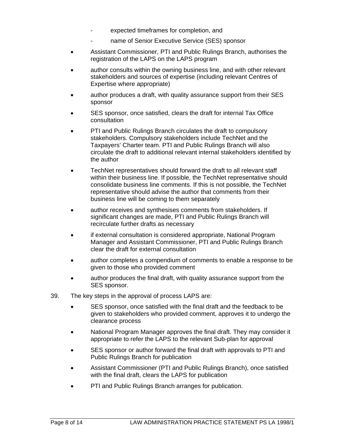- expected timeframes for completion, and
- name of Senior Executive Service (SES) sponsor
- Assistant Commissioner, PTI and Public Rulings Branch, authorises the registration of the LAPS on the LAPS program
- author consults within the owning business line, and with other relevant stakeholders and sources of expertise (including relevant Centres of Expertise where appropriate)
- author produces a draft, with quality assurance support from their SES sponsor
- SES sponsor, once satisfied, clears the draft for internal Tax Office consultation
- PTI and Public Rulings Branch circulates the draft to compulsory stakeholders. Compulsory stakeholders include TechNet and the Taxpayers' Charter team. PTI and Public Rulings Branch will also circulate the draft to additional relevant internal stakeholders identified by the author
- TechNet representatives should forward the draft to all relevant staff within their business line. If possible, the TechNet representative should consolidate business line comments. If this is not possible, the TechNet representative should advise the author that comments from their business line will be coming to them separately
- author receives and synthesises comments from stakeholders. If significant changes are made, PTI and Public Rulings Branch will recirculate further drafts as necessary
- if external consultation is considered appropriate, National Program Manager and Assistant Commissioner, PTI and Public Rulings Branch clear the draft for external consultation
- author completes a compendium of comments to enable a response to be given to those who provided comment
- author produces the final draft, with quality assurance support from the SES sponsor.
- 39. The key steps in the approval of process LAPS are:
	- SES sponsor, once satisfied with the final draft and the feedback to be given to stakeholders who provided comment, approves it to undergo the clearance process
	- National Program Manager approves the final draft. They may consider it appropriate to refer the LAPS to the relevant Sub-plan for approval
	- SES sponsor or author forward the final draft with approvals to PTI and Public Rulings Branch for publication
	- Assistant Commissioner (PTI and Public Rulings Branch), once satisfied with the final draft, clears the LAPS for publication
	- PTI and Public Rulings Branch arranges for publication.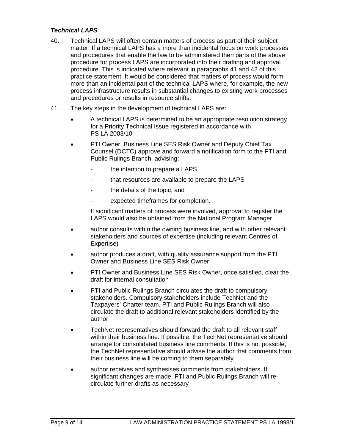#### *Technical LAPS*

- 40. Technical LAPS will often contain matters of process as part of their subject matter. If a technical LAPS has a more than incidental focus on work processes and procedures that enable the law to be administered then parts of the above procedure for process LAPS are incorporated into their drafting and approval procedure. This is indicated where relevant in paragraphs 41 and 42 of this practice statement. It would be considered that matters of process would form more than an incidental part of the technical LAPS where, for example, the new process infrastructure results in substantial changes to existing work processes and procedures or results in resource shifts.
- 41. The key steps in the development of technical LAPS are:
	- A technical LAPS is determined to be an appropriate resolution strategy for a Priority Technical Issue registered in accordance with PS LA 2003/10
	- PTI Owner, Business Line SES Risk Owner and Deputy Chief Tax Counsel (DCTC) approve and forward a notification form to the PTI and Public Rulings Branch, advising:
		- the intention to prepare a LAPS
		- that resources are available to prepare the LAPS
		- the details of the topic, and
		- expected timeframes for completion.

If significant matters of process were involved, approval to register the LAPS would also be obtained from the National Program Manager

- author consults within the owning business line, and with other relevant stakeholders and sources of expertise (including relevant Centres of Expertise)
- author produces a draft, with quality assurance support from the PTI Owner and Business Line SES Risk Owner
- PTI Owner and Business Line SES Risk Owner, once satisfied, clear the draft for internal consultation
- PTI and Public Rulings Branch circulates the draft to compulsory stakeholders. Compulsory stakeholders include TechNet and the Taxpayers' Charter team. PTI and Public Rulings Branch will also circulate the draft to additional relevant stakeholders identified by the author
- TechNet representatives should forward the draft to all relevant staff within their business line. If possible, the TechNet representative should arrange for consolidated business line comments. If this is not possible, the TechNet representative should advise the author that comments from their business line will be coming to them separately
- author receives and synthesises comments from stakeholders. If significant changes are made, PTI and Public Rulings Branch will recirculate further drafts as necessary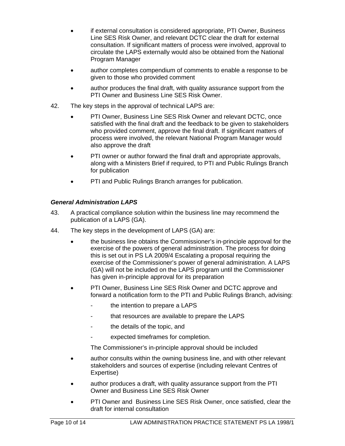- if external consultation is considered appropriate, PTI Owner, Business Line SES Risk Owner, and relevant DCTC clear the draft for external consultation. If significant matters of process were involved, approval to circulate the LAPS externally would also be obtained from the National Program Manager
- author completes compendium of comments to enable a response to be given to those who provided comment
- author produces the final draft, with quality assurance support from the PTI Owner and Business Line SES Risk Owner.
- 42. The key steps in the approval of technical LAPS are:
	- PTI Owner, Business Line SES Risk Owner and relevant DCTC, once satisfied with the final draft and the feedback to be given to stakeholders who provided comment, approve the final draft. If significant matters of process were involved, the relevant National Program Manager would also approve the draft
	- PTI owner or author forward the final draft and appropriate approvals, along with a Ministers Brief if required, to PTI and Public Rulings Branch for publication
	- PTI and Public Rulings Branch arranges for publication.

## *General Administration LAPS*

- 43. A practical compliance solution within the business line may recommend the publication of a LAPS (GA).
- 44. The key steps in the development of LAPS (GA) are:
	- the business line obtains the Commissioner's in-principle approval for the exercise of the powers of general administration. The process for doing this is set out in PS LA 2009/4 Escalating a proposal requiring the exercise of the Commissioner's power of general administration. A LAPS (GA) will not be included on the LAPS program until the Commissioner has given in-principle approval for its preparation
	- PTI Owner, Business Line SES Risk Owner and DCTC approve and forward a notification form to the PTI and Public Rulings Branch, advising:
		- the intention to prepare a LAPS
		- that resources are available to prepare the LAPS
		- the details of the topic, and
		- expected timeframes for completion.

The Commissioner's in-principle approval should be included

- author consults within the owning business line, and with other relevant stakeholders and sources of expertise (including relevant Centres of Expertise)
- author produces a draft, with quality assurance support from the PTI Owner and Business Line SES Risk Owner
- PTI Owner and Business Line SES Risk Owner, once satisfied, clear the draft for internal consultation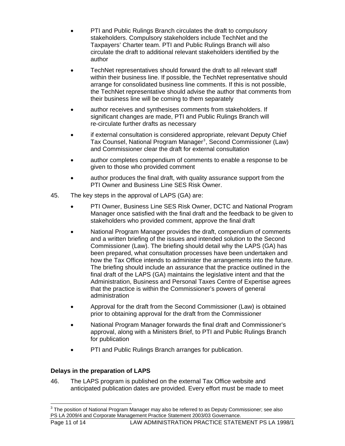- PTI and Public Rulings Branch circulates the draft to compulsory stakeholders. Compulsory stakeholders include TechNet and the Taxpayers' Charter team. PTI and Public Rulings Branch will also circulate the draft to additional relevant stakeholders identified by the author
- TechNet representatives should forward the draft to all relevant staff within their business line. If possible, the TechNet representative should arrange for consolidated business line comments. If this is not possible, the TechNet representative should advise the author that comments from their business line will be coming to them separately
- author receives and synthesises comments from stakeholders. If significant changes are made, PTI and Public Rulings Branch will re-circulate further drafts as necessary
- if external consultation is considered appropriate, relevant Deputy Chief Tax Counsel, National Program Manager<sup>[3](#page-11-0)</sup>, Second Commissioner (Law) and Commissioner clear the draft for external consultation
- author completes compendium of comments to enable a response to be given to those who provided comment
- author produces the final draft, with quality assurance support from the PTI Owner and Business Line SES Risk Owner.
- 45. The key steps in the approval of LAPS (GA) are:
	- PTI Owner, Business Line SES Risk Owner, DCTC and National Program Manager once satisfied with the final draft and the feedback to be given to stakeholders who provided comment, approve the final draft
	- National Program Manager provides the draft, compendium of comments and a written briefing of the issues and intended solution to the Second Commissioner (Law). The briefing should detail why the LAPS (GA) has been prepared, what consultation processes have been undertaken and how the Tax Office intends to administer the arrangements into the future. The briefing should include an assurance that the practice outlined in the final draft of the LAPS (GA) maintains the legislative intent and that the Administration, Business and Personal Taxes Centre of Expertise agrees that the practice is within the Commissioner's powers of general administration
	- Approval for the draft from the Second Commissioner (Law) is obtained prior to obtaining approval for the draft from the Commissioner
	- National Program Manager forwards the final draft and Commissioner's approval, along with a Ministers Brief, to PTI and Public Rulings Branch for publication
	- PTI and Public Rulings Branch arranges for publication.

## **Delays in the preparation of LAPS**

46. The LAPS program is published on the external Tax Office website and anticipated publication dates are provided. Every effort must be made to meet

<span id="page-11-0"></span> $\overline{a}$  $^3$  The position of National Program Manager may also be referred to as Deputy Commissioner; see also PS LA 2009/4 and Corporate Management Practice Statement 2003/03 Governance.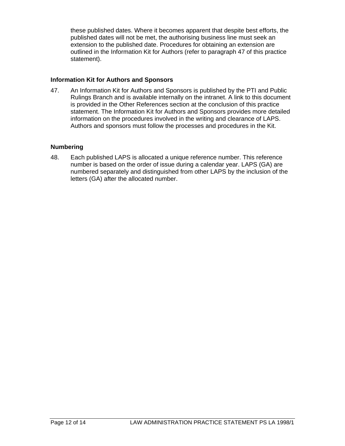these published dates. Where it becomes apparent that despite best efforts, the published dates will not be met, the authorising business line must seek an extension to the published date. Procedures for obtaining an extension are outlined in the Information Kit for Authors (refer to paragraph 47 of this practice statement).

#### **Information Kit for Authors and Sponsors**

47. An Information Kit for Authors and Sponsors is published by the PTI and Public Rulings Branch and is available internally on the intranet. A link to this document is provided in the Other References section at the conclusion of this practice statement. The Information Kit for Authors and Sponsors provides more detailed information on the procedures involved in the writing and clearance of LAPS. Authors and sponsors must follow the processes and procedures in the Kit.

#### **Numbering**

48. Each published LAPS is allocated a unique reference number. This reference number is based on the order of issue during a calendar year. LAPS (GA) are numbered separately and distinguished from other LAPS by the inclusion of the letters (GA) after the allocated number.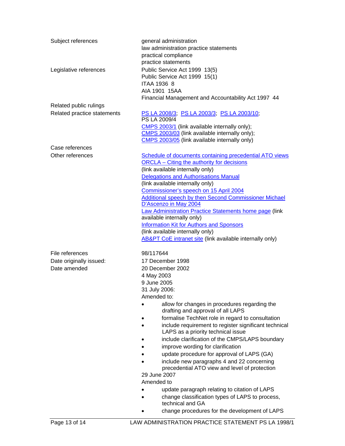| Subject references                  | general administration<br>law administration practice statements<br>practical compliance<br>practice statements                                                                                                                                                                                                                                                                                                                                                                                                                                                    |
|-------------------------------------|--------------------------------------------------------------------------------------------------------------------------------------------------------------------------------------------------------------------------------------------------------------------------------------------------------------------------------------------------------------------------------------------------------------------------------------------------------------------------------------------------------------------------------------------------------------------|
| Legislative references              | Public Service Act 1999 13(5)<br>Public Service Act 1999 15(1)<br><b>ITAA 1936 8</b><br>AIA 1901 15AA                                                                                                                                                                                                                                                                                                                                                                                                                                                              |
|                                     | Financial Management and Accountability Act 1997 44                                                                                                                                                                                                                                                                                                                                                                                                                                                                                                                |
| Related public rulings              |                                                                                                                                                                                                                                                                                                                                                                                                                                                                                                                                                                    |
| Related practice statements         | PS LA 2008/3, PS LA 2003/3, PS LA 2003/10,<br>PS LA 2009/4<br>CMPS 2003/1 (link available internally only);<br>CMPS 2003/03 (link available internally only);                                                                                                                                                                                                                                                                                                                                                                                                      |
|                                     | CMPS 2003/05 (link available internally only)                                                                                                                                                                                                                                                                                                                                                                                                                                                                                                                      |
| Case references<br>Other references | Schedule of documents containing precedential ATO views                                                                                                                                                                                                                                                                                                                                                                                                                                                                                                            |
|                                     | <b>ORCLA</b> – Citing the authority for decisions<br>(link available internally only)<br><b>Delegations and Authorisations Manual</b><br>(link available internally only)<br>Commissioner's speech on 15 April 2004<br><b>Additional speech by then Second Commissioner Michael</b><br>D'Ascenzo in May 2004<br>Law Administration Practice Statements home page (link<br>available internally only)<br><b>Information Kit for Authors and Sponsors</b><br>(link available internally only)<br><b>AB&amp;PT CoE intranet site (link available internally only)</b> |
| File references                     | 98/117644                                                                                                                                                                                                                                                                                                                                                                                                                                                                                                                                                          |
| Date originally issued:             | 17 December 1998                                                                                                                                                                                                                                                                                                                                                                                                                                                                                                                                                   |
| Date amended                        | 20 December 2002                                                                                                                                                                                                                                                                                                                                                                                                                                                                                                                                                   |
|                                     | 4 May 2003                                                                                                                                                                                                                                                                                                                                                                                                                                                                                                                                                         |
|                                     | 9 June 2005                                                                                                                                                                                                                                                                                                                                                                                                                                                                                                                                                        |
|                                     | 31 July 2006:<br>Amended to:                                                                                                                                                                                                                                                                                                                                                                                                                                                                                                                                       |
|                                     | allow for changes in procedures regarding the<br>drafting and approval of all LAPS                                                                                                                                                                                                                                                                                                                                                                                                                                                                                 |
|                                     | formalise TechNet role in regard to consultation<br>include requirement to register significant technical<br>LAPS as a priority technical issue                                                                                                                                                                                                                                                                                                                                                                                                                    |
|                                     | include clarification of the CMPS/LAPS boundary                                                                                                                                                                                                                                                                                                                                                                                                                                                                                                                    |
|                                     | improve wording for clarification                                                                                                                                                                                                                                                                                                                                                                                                                                                                                                                                  |
|                                     | update procedure for approval of LAPS (GA)                                                                                                                                                                                                                                                                                                                                                                                                                                                                                                                         |
|                                     | include new paragraphs 4 and 22 concerning<br>precedential ATO view and level of protection                                                                                                                                                                                                                                                                                                                                                                                                                                                                        |
|                                     | 29 June 2007                                                                                                                                                                                                                                                                                                                                                                                                                                                                                                                                                       |
|                                     | Amended to                                                                                                                                                                                                                                                                                                                                                                                                                                                                                                                                                         |
|                                     | update paragraph relating to citation of LAPS<br>change classification types of LAPS to process,<br>technical and GA                                                                                                                                                                                                                                                                                                                                                                                                                                               |
|                                     | change procedures for the development of LAPS                                                                                                                                                                                                                                                                                                                                                                                                                                                                                                                      |